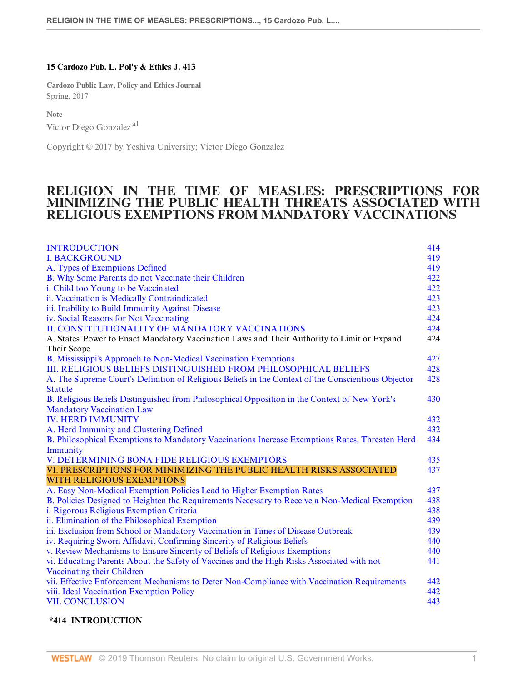# 15 Cardozo Pub. L. Pol'y & Ethics J. 413

Cardozo Public Law, Policy and Ethics Journal Spring, 2017

Note

Victor Diego Gonzalez a1

Copyright © 2017 by Yeshiva University; Victor Diego Gonzalez

# RELIGION IN THE TIME OF MEASLES: PRESCRIPTIONS FOR MINIMIZING THE PUBLIC HEALTH THREATS ASSOCIATED WITH RELIGIOUS EXEMPTIONS FROM MANDATORY VACCINATIONS

| <b>INTRODUCTION</b>                                                                                 | 414 |
|-----------------------------------------------------------------------------------------------------|-----|
| <b>I. BACKGROUND</b>                                                                                | 419 |
| A. Types of Exemptions Defined                                                                      | 419 |
| B. Why Some Parents do not Vaccinate their Children                                                 | 422 |
| i. Child too Young to be Vaccinated                                                                 | 422 |
| ii. Vaccination is Medically Contraindicated                                                        | 423 |
| iii. Inability to Build Immunity Against Disease                                                    | 423 |
| iv. Social Reasons for Not Vaccinating                                                              | 424 |
| II. CONSTITUTIONALITY OF MANDATORY VACCINATIONS                                                     | 424 |
| A. States' Power to Enact Mandatory Vaccination Laws and Their Authority to Limit or Expand         | 424 |
| Their Scope                                                                                         |     |
| B. Mississippi's Approach to Non-Medical Vaccination Exemptions                                     | 427 |
| III. RELIGIOUS BELIEFS DISTINGUISHED FROM PHILOSOPHICAL BELIEFS                                     | 428 |
| A. The Supreme Court's Definition of Religious Beliefs in the Context of the Conscientious Objector | 428 |
| <b>Statute</b>                                                                                      |     |
| B. Religious Beliefs Distinguished from Philosophical Opposition in the Context of New York's       | 430 |
| <b>Mandatory Vaccination Law</b>                                                                    |     |
| <b>IV. HERD IMMUNITY</b>                                                                            | 432 |
| A. Herd Immunity and Clustering Defined                                                             | 432 |
| B. Philosophical Exemptions to Mandatory Vaccinations Increase Exemptions Rates, Threaten Herd      | 434 |
| Immunity                                                                                            |     |
| V. DETERMINING BONA FIDE RELIGIOUS EXEMPTORS                                                        | 435 |
| VI. PRESCRIPTIONS FOR MINIMIZING THE PUBLIC HEALTH RISKS ASSOCIATED                                 | 437 |
| <b>WITH RELIGIOUS EXEMPTIONS</b>                                                                    |     |
| A. Easy Non-Medical Exemption Policies Lead to Higher Exemption Rates                               | 437 |
| B. Policies Designed to Heighten the Requirements Necessary to Receive a Non-Medical Exemption      | 438 |
| i. Rigorous Religious Exemption Criteria                                                            | 438 |
| ii. Elimination of the Philosophical Exemption                                                      | 439 |
| iii. Exclusion from School or Mandatory Vaccination in Times of Disease Outbreak                    | 439 |
| iv. Requiring Sworn Affidavit Confirming Sincerity of Religious Beliefs                             | 440 |
| v. Review Mechanisms to Ensure Sincerity of Beliefs of Religious Exemptions                         | 440 |
| vi. Educating Parents About the Safety of Vaccines and the High Risks Associated with not           | 441 |
| Vaccinating their Children                                                                          |     |
| vii. Effective Enforcement Mechanisms to Deter Non-Compliance with Vaccination Requirements         | 442 |
| viii. Ideal Vaccination Exemption Policy                                                            | 442 |
| <b>VII. CONCLUSION</b>                                                                              | 443 |

# \*414 INTRODUCTION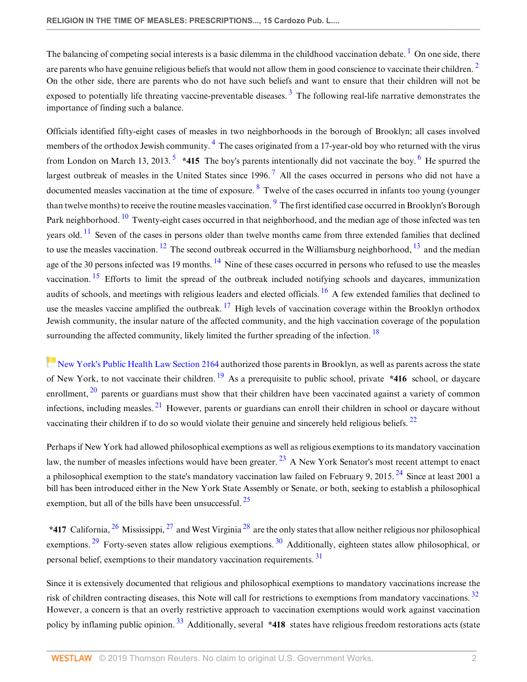The balancing of competing social interests is a basic dilemma in the childhood vaccination debate.<sup>1</sup> On one side, there are parents who have genuine religious beliefs that would not allow them in good conscience to vaccinate their children.  $\frac{2}{3}$ On the other side, there are parents who do not have such beliefs and want to ensure that their children will not be exposed to potentially life threating vaccine-preventable diseases.  $3$  The following real-life narrative demonstrates the importance of finding such a balance.

Officials identified fifty-eight cases of measles in two neighborhoods in the borough of Brooklyn; all cases involved members of the orthodox Jewish community.<sup>4</sup> The cases originated from a 17-year-old boy who returned with the virus from London on March 13, 2013.  $5*415$  The boy's parents intentionally did not vaccinate the boy. <sup>6</sup> He spurred the largest outbreak of measles in the United States since  $1996$ .<sup>7</sup> All the cases occurred in persons who did not have a documented measles vaccination at the time of exposure.  $8$  Twelve of the cases occurred in infants too young (younger than twelve months) to receive the routine measles vaccination. <sup>9</sup> The first identified case occurred in Brooklyn's Borough Park neighborhood. <sup>10</sup> Twenty-eight cases occurred in that neighborhood, and the median age of those infected was ten years old.  $^{11}$  Seven of the cases in persons older than twelve months came from three extended families that declined to use the measles vaccination. <sup>12</sup> The second outbreak occurred in the Williamsburg neighborhood, <sup>13</sup> and the median age of the 30 persons infected was 19 months. <sup>14</sup> Nine of these cases occurred in persons who refused to use the measles vaccination.  $15$  Efforts to limit the spread of the outbreak included notifying schools and daycares, immunization audits of schools, and meetings with religious leaders and elected officials.  $^{16}$  A few extended families that declined to use the measles vaccine amplified the outbreak.  $^{17}$  High levels of vaccination coverage within the Brooklyn orthodox Jewish community, the insular nature of the affected community, and the high vaccination coverage of the population surrounding the affected community, likely limited the further spreading of the infection.  $18$ 

New York's Public Health Law Section 2164 authorized those parents in Brooklyn, as well as parents across the state of New York, to not vaccinate their children. <sup>19</sup> As a prerequisite to public school, private \*416 school, or daycare enrollment,  $^{20}$  parents or guardians must show that their children have been vaccinated against a variety of common infections, including measles. 21 However, parents or guardians can enroll their children in school or daycare without vaccinating their children if to do so would violate their genuine and sincerely held religious beliefs. <sup>22</sup>

Perhaps if New York had allowed philosophical exemptions as well as religious exemptions to its mandatory vaccination law, the number of measles infections would have been greater.  $^{23}$  A New York Senator's most recent attempt to enact a philosophical exemption to the state's mandatory vaccination law failed on February 9, 2015.<sup>24</sup> Since at least 2001 a bill has been introduced either in the New York State Assembly or Senate, or both, seeking to establish a philosophical exemption, but all of the bills have been unsuccessful.  $^{25}$ 

\*417 California,  $^{26}$  Mississippi,  $^{27}$  and West Virginia  $^{28}$  are the only states that allow neither religious nor philosophical exemptions. <sup>29</sup> Forty-seven states allow religious exemptions. <sup>30</sup> Additionally, eighteen states allow philosophical, or personal belief, exemptions to their mandatory vaccination requirements.<sup>31</sup>

Since it is extensively documented that religious and philosophical exemptions to mandatory vaccinations increase the risk of children contracting diseases, this Note will call for restrictions to exemptions from mandatory vaccinations.  $32$ However, a concern is that an overly restrictive approach to vaccination exemptions would work against vaccination policy by inflaming public opinion.<sup>33</sup> Additionally, several \*418 states have religious freedom restorations acts (state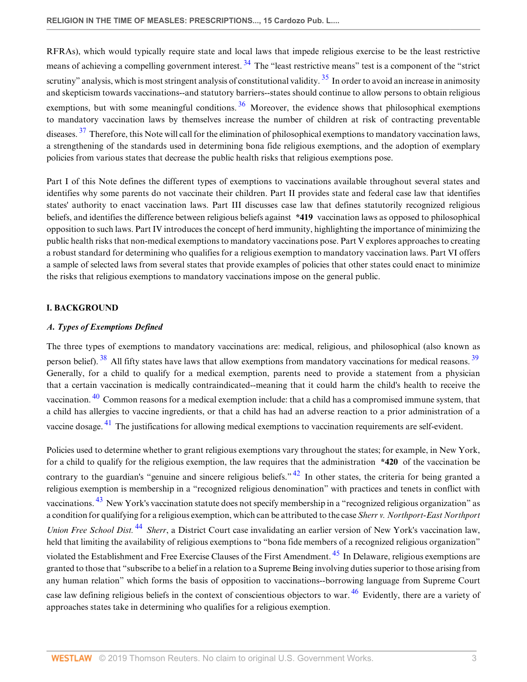RFRAs), which would typically require state and local laws that impede religious exercise to be the least restrictive means of achieving a compelling government interest. <sup>34</sup> The "least restrictive means" test is a component of the "strict" scrutiny" analysis, which is most stringent analysis of constitutional validity.  $35$  In order to avoid an increase in animosity and skepticism towards vaccinations--and statutory barriers--states should continue to allow persons to obtain religious exemptions, but with some meaningful conditions.  $36$  Moreover, the evidence shows that philosophical exemptions to mandatory vaccination laws by themselves increase the number of children at risk of contracting preventable diseases.  $37$  Therefore, this Note will call for the elimination of philosophical exemptions to mandatory vaccination laws, a strengthening of the standards used in determining bona fide religious exemptions, and the adoption of exemplary policies from various states that decrease the public health risks that religious exemptions pose.

Part I of this Note defines the different types of exemptions to vaccinations available throughout several states and identifies why some parents do not vaccinate their children. Part II provides state and federal case law that identifies states' authority to enact vaccination laws. Part III discusses case law that defines statutorily recognized religious beliefs, and identifies the difference between religious beliefs against \*419 vaccination laws as opposed to philosophical opposition to such laws. Part IV introduces the concept of herd immunity, highlighting the importance of minimizing the public health risks that non-medical exemptions to mandatory vaccinations pose. Part V explores approaches to creating a robust standard for determining who qualifies for a religious exemption to mandatory vaccination laws. Part VI offers a sample of selected laws from several states that provide examples of policies that other states could enact to minimize the risks that religious exemptions to mandatory vaccinations impose on the general public.

# I. BACKGROUND

# A. Types of Exemptions Defined

The three types of exemptions to mandatory vaccinations are: medical, religious, and philosophical (also known as person belief).  $38$  All fifty states have laws that allow exemptions from mandatory vaccinations for medical reasons.  $39$ Generally, for a child to qualify for a medical exemption, parents need to provide a statement from a physician that a certain vaccination is medically contraindicated--meaning that it could harm the child's health to receive the vaccination.  $40$  Common reasons for a medical exemption include: that a child has a compromised immune system, that a child has allergies to vaccine ingredients, or that a child has had an adverse reaction to a prior administration of a vaccine dosage. 41 The justifications for allowing medical exemptions to vaccination requirements are self-evident.

Policies used to determine whether to grant religious exemptions vary throughout the states; for example, in New York, for a child to qualify for the religious exemption, the law requires that the administration  $*420$  of the vaccination be contrary to the guardian's "genuine and sincere religious beliefs."  $42$  In other states, the criteria for being granted a religious exemption is membership in a "recognized religious denomination" with practices and tenets in conflict with vaccinations. 43 New York's vaccination statute does not specify membership in a "recognized religious organization" as a condition for qualifying for a religious exemption, which can be attributed to the case Sherr v. Northport-East Northport Union Free School Dist. <sup>44</sup> Sherr, a District Court case invalidating an earlier version of New York's vaccination law, held that limiting the availability of religious exemptions to "bona fide members of a recognized religious organization" violated the Establishment and Free Exercise Clauses of the First Amendment. 45 In Delaware, religious exemptions are granted to those that "subscribe to a belief in a relation to a Supreme Being involving duties superior to those arising from any human relation" which forms the basis of opposition to vaccinations--borrowing language from Supreme Court case law defining religious beliefs in the context of conscientious objectors to war.<sup>46</sup> Evidently, there are a variety of approaches states take in determining who qualifies for a religious exemption.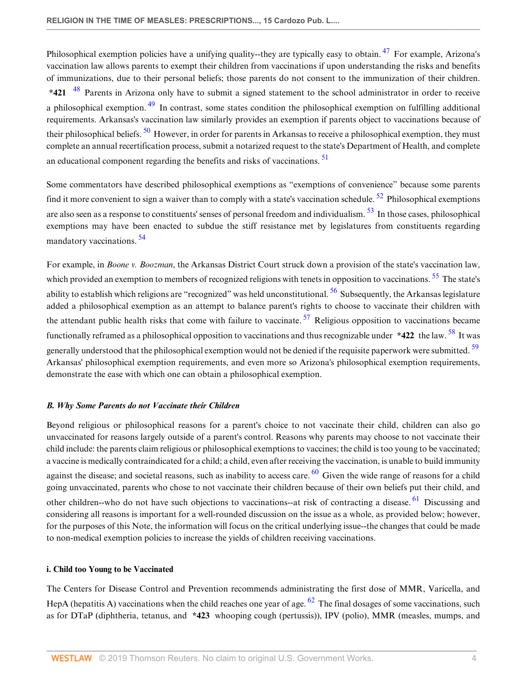Philosophical exemption policies have a unifying quality--they are typically easy to obtain. <sup>47</sup> For example, Arizona's vaccination law allows parents to exempt their children from vaccinations if upon understanding the risks and benefits of immunizations, due to their personal beliefs; those parents do not consent to the immunization of their children. \*421  $^{48}$  Parents in Arizona only have to submit a signed statement to the school administrator in order to receive a philosophical exemption.<sup>49</sup> In contrast, some states condition the philosophical exemption on fulfilling additional requirements. Arkansas's vaccination law similarly provides an exemption if parents object to vaccinations because of their philosophical beliefs.  $\frac{50}{2}$  However, in order for parents in Arkansas to receive a philosophical exemption, they must complete an annual recertification process, submit a notarized request to the state's Department of Health, and complete an educational component regarding the benefits and risks of vaccinations.<sup>51</sup>

Some commentators have described philosophical exemptions as "exemptions of convenience" because some parents find it more convenient to sign a waiver than to comply with a state's vaccination schedule.  $52$  Philosophical exemptions are also seen as a response to constituents' senses of personal freedom and individualism. <sup>53</sup> In those cases, philosophical exemptions may have been enacted to subdue the stiff resistance met by legislatures from constituents regarding mandatory vaccinations. <sup>54</sup>

For example, in *Boone v. Boozman*, the Arkansas District Court struck down a provision of the state's vaccination law, which provided an exemption to members of recognized religions with tenets in opposition to vaccinations. <sup>55</sup> The state's ability to establish which religions are "recognized" was held unconstitutional.  $56$  Subsequently, the Arkansas legislature added a philosophical exemption as an attempt to balance parent's rights to choose to vaccinate their children with the attendant public health risks that come with failure to vaccinate.  $57$  Religious opposition to vaccinations became functionally reframed as a philosophical opposition to vaccinations and thus recognizable under  $*422$  the law. <sup>58</sup> It was generally understood that the philosophical exemption would not be denied if the requisite paperwork were submitted. <sup>59</sup> Arkansas' philosophical exemption requirements, and even more so Arizona's philosophical exemption requirements, demonstrate the ease with which one can obtain a philosophical exemption.

# B. Why Some Parents do not Vaccinate their Children

Beyond religious or philosophical reasons for a parent's choice to not vaccinate their child, children can also go unvaccinated for reasons largely outside of a parent's control. Reasons why parents may choose to not vaccinate their child include: the parents claim religious or philosophical exemptions to vaccines; the child is too young to be vaccinated; a vaccine is medically contraindicated for a child; a child, even after receiving the vaccination, is unable to build immunity against the disease; and societal reasons, such as inability to access care.  $^{60}$  Given the wide range of reasons for a child going unvaccinated, parents who chose to not vaccinate their children because of their own beliefs put their child, and other children--who do not have such objections to vaccinations--at risk of contracting a disease. 61 Discussing and considering all reasons is important for a well-rounded discussion on the issue as a whole, as provided below; however, for the purposes of this Note, the information will focus on the critical underlying issue--the changes that could be made to non-medical exemption policies to increase the yields of children receiving vaccinations.

# i. Child too Young to be Vaccinated

The Centers for Disease Control and Prevention recommends administrating the first dose of MMR, Varicella, and HepA (hepatitis A) vaccinations when the child reaches one year of age.  $62$  The final dosages of some vaccinations, such as for DTaP (diphtheria, tetanus, and \*423 whooping cough (pertussis)), IPV (polio), MMR (measles, mumps, and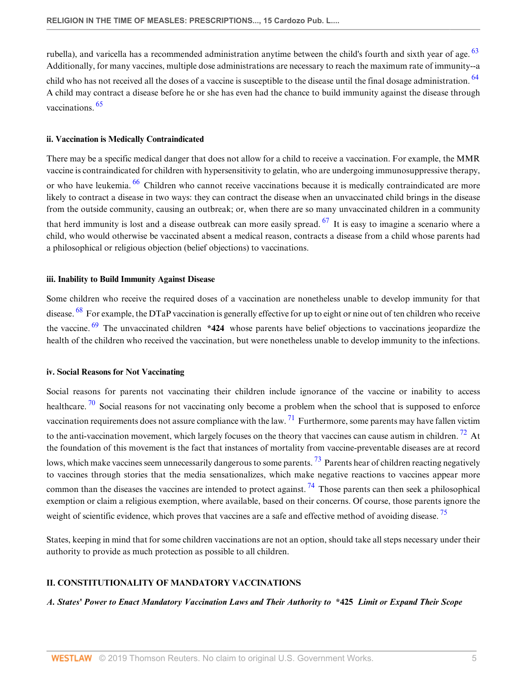rubella), and varicella has a recommended administration anytime between the child's fourth and sixth year of age.  $63$ Additionally, for many vaccines, multiple dose administrations are necessary to reach the maximum rate of immunity--a child who has not received all the doses of a vaccine is susceptible to the disease until the final dosage administration. <sup>64</sup> A child may contract a disease before he or she has even had the chance to build immunity against the disease through vaccinations. <sup>65</sup>

### ii. Vaccination is Medically Contraindicated

There may be a specific medical danger that does not allow for a child to receive a vaccination. For example, the MMR vaccine is contraindicated for children with hypersensitivity to gelatin, who are undergoing immunosuppressive therapy, or who have leukemia. <sup>66</sup> Children who cannot receive vaccinations because it is medically contraindicated are more likely to contract a disease in two ways: they can contract the disease when an unvaccinated child brings in the disease from the outside community, causing an outbreak; or, when there are so many unvaccinated children in a community that herd immunity is lost and a disease outbreak can more easily spread.  $67$  It is easy to imagine a scenario where a child, who would otherwise be vaccinated absent a medical reason, contracts a disease from a child whose parents had a philosophical or religious objection (belief objections) to vaccinations.

### iii. Inability to Build Immunity Against Disease

Some children who receive the required doses of a vaccination are nonetheless unable to develop immunity for that disease. <sup>68</sup> For example, the DTaP vaccination is generally effective for up to eight or nine out of ten children who receive the vaccine. <sup>69</sup> The unvaccinated children \*424 whose parents have belief objections to vaccinations jeopardize the health of the children who received the vaccination, but were nonetheless unable to develop immunity to the infections.

#### iv. Social Reasons for Not Vaccinating

Social reasons for parents not vaccinating their children include ignorance of the vaccine or inability to access healthcare.  $\frac{70}{10}$  Social reasons for not vaccinating only become a problem when the school that is supposed to enforce vaccination requirements does not assure compliance with the law.  $^{71}$  Furthermore, some parents may have fallen victim to the anti-vaccination movement, which largely focuses on the theory that vaccines can cause autism in children.<sup>72</sup> At the foundation of this movement is the fact that instances of mortality from vaccine-preventable diseases are at record lows, which make vaccines seem unnecessarily dangerous to some parents.<sup>73</sup> Parents hear of children reacting negatively to vaccines through stories that the media sensationalizes, which make negative reactions to vaccines appear more common than the diseases the vaccines are intended to protect against. <sup>74</sup> Those parents can then seek a philosophical exemption or claim a religious exemption, where available, based on their concerns. Of course, those parents ignore the weight of scientific evidence, which proves that vaccines are a safe and effective method of avoiding disease.<sup>75</sup>

States, keeping in mind that for some children vaccinations are not an option, should take all steps necessary under their authority to provide as much protection as possible to all children.

# II. CONSTITUTIONALITY OF MANDATORY VACCINATIONS

A. States' Power to Enact Mandatory Vaccination Laws and Their Authority to \*425 Limit or Expand Their Scope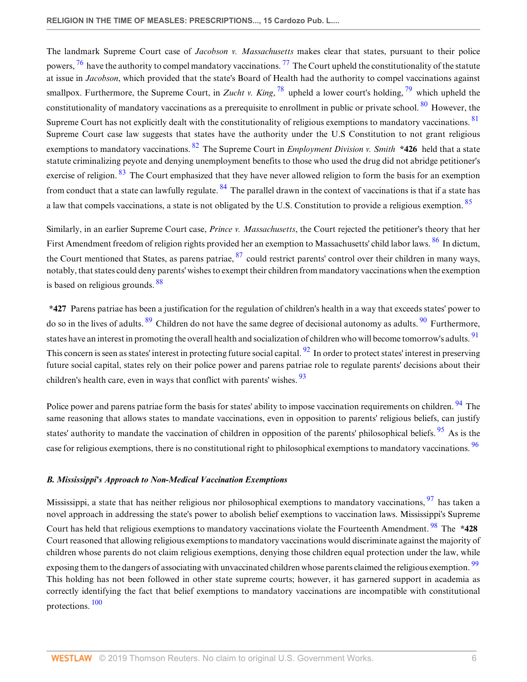The landmark Supreme Court case of Jacobson v. Massachusetts makes clear that states, pursuant to their police powers,  $^{76}$  have the authority to compel mandatory vaccinations.  $^{77}$  The Court upheld the constitutionality of the statute at issue in Jacobson, which provided that the state's Board of Health had the authority to compel vaccinations against smallpox. Furthermore, the Supreme Court, in Zucht v. King,  $^{78}$  upheld a lower court's holding,  $^{79}$  which upheld the constitutionality of mandatory vaccinations as a prerequisite to enrollment in public or private school.  $80\,$  However, the Supreme Court has not explicitly dealt with the constitutionality of religious exemptions to mandatory vaccinations. <sup>81</sup> Supreme Court case law suggests that states have the authority under the U.S Constitution to not grant religious exemptions to mandatory vaccinations. <sup>82</sup> The Supreme Court in *Employment Division v. Smith*  $*426$  held that a state statute criminalizing peyote and denying unemployment benefits to those who used the drug did not abridge petitioner's exercise of religion. <sup>83</sup> The Court emphasized that they have never allowed religion to form the basis for an exemption from conduct that a state can lawfully regulate.  $84$  The parallel drawn in the context of vaccinations is that if a state has a law that compels vaccinations, a state is not obligated by the U.S. Constitution to provide a religious exemption. <sup>85</sup>

Similarly, in an earlier Supreme Court case, *Prince v. Massachusetts*, the Court rejected the petitioner's theory that her First Amendment freedom of religion rights provided her an exemption to Massachusetts' child labor laws. <sup>86</sup> In dictum, the Court mentioned that States, as parens patriae, <sup>87</sup> could restrict parents' control over their children in many ways, notably, that states could deny parents' wishes to exempt their children from mandatory vaccinations when the exemption is based on religious grounds. <sup>88</sup>

\*427 Parens patriae has been a justification for the regulation of children's health in a way that exceeds states' power to do so in the lives of adults.  $89$  Children do not have the same degree of decisional autonomy as adults.  $90$  Furthermore, states have an interest in promoting the overall health and socialization of children who will become tomorrow's adults. <sup>91</sup> This concern is seen as states' interest in protecting future social capital. <sup>92</sup> In order to protect states' interest in preserving future social capital, states rely on their police power and parens patriae role to regulate parents' decisions about their children's health care, even in ways that conflict with parents' wishes.  $\frac{93}{2}$ 

Police power and parens patriae form the basis for states' ability to impose vaccination requirements on children. <sup>94</sup> The same reasoning that allows states to mandate vaccinations, even in opposition to parents' religious beliefs, can justify states' authority to mandate the vaccination of children in opposition of the parents' philosophical beliefs.  $95$  As is the case for religious exemptions, there is no constitutional right to philosophical exemptions to mandatory vaccinations. <sup>96</sup>

# B. Mississippi's Approach to Non-Medical Vaccination Exemptions

Mississippi, a state that has neither religious nor philosophical exemptions to mandatory vaccinations,  $\frac{97}{97}$  has taken a novel approach in addressing the state's power to abolish belief exemptions to vaccination laws. Mississippi's Supreme Court has held that religious exemptions to mandatory vaccinations violate the Fourteenth Amendment.<sup>98</sup> The \*428 Court reasoned that allowing religious exemptions to mandatory vaccinations would discriminate against the majority of children whose parents do not claim religious exemptions, denying those children equal protection under the law, while exposing them to the dangers of associating with unvaccinated children whose parents claimed the religious exemption. <sup>99</sup> This holding has not been followed in other state supreme courts; however, it has garnered support in academia as correctly identifying the fact that belief exemptions to mandatory vaccinations are incompatible with constitutional protections. <sup>100</sup>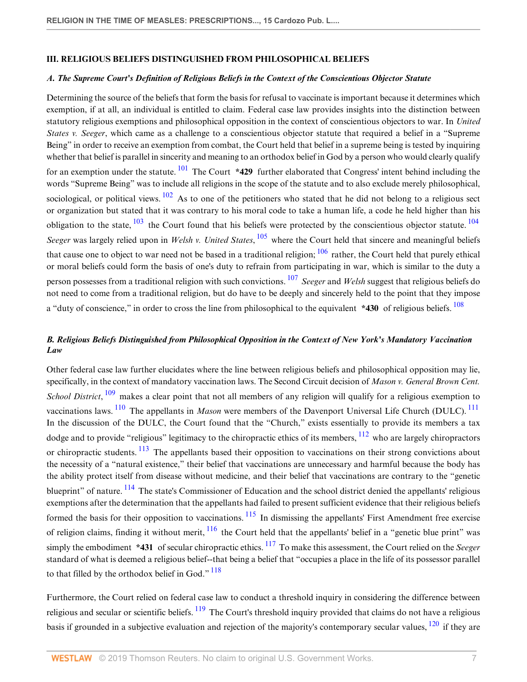# III. RELIGIOUS BELIEFS DISTINGUISHED FROM PHILOSOPHICAL BELIEFS

#### A. The Supreme Court's Definition of Religious Beliefs in the Context of the Conscientious Objector Statute

Determining the source of the beliefs that form the basis for refusal to vaccinate is important because it determines which exemption, if at all, an individual is entitled to claim. Federal case law provides insights into the distinction between statutory religious exemptions and philosophical opposition in the context of conscientious objectors to war. In United States v. Seeger, which came as a challenge to a conscientious objector statute that required a belief in a "Supreme Being" in order to receive an exemption from combat, the Court held that belief in a supreme being is tested by inquiring whether that belief is parallel in sincerity and meaning to an orthodox belief in God by a person who would clearly qualify for an exemption under the statute.  $\frac{101}{10}$  The Court \*429 further elaborated that Congress' intent behind including the words "Supreme Being" was to include all religions in the scope of the statute and to also exclude merely philosophical, sociological, or political views.  $\frac{102}{2}$  As to one of the petitioners who stated that he did not belong to a religious sect or organization but stated that it was contrary to his moral code to take a human life, a code he held higher than his obligation to the state,  $\frac{103}{104}$  the Court found that his beliefs were protected by the conscientious objector statute.  $\frac{104}{104}$ Seeger was largely relied upon in Welsh v. United States,  $^{105}$  where the Court held that sincere and meaningful beliefs that cause one to object to war need not be based in a traditional religion;  $106$  rather, the Court held that purely ethical or moral beliefs could form the basis of one's duty to refrain from participating in war, which is similar to the duty a person possesses from a traditional religion with such convictions.  $107$  Seeger and Welsh suggest that religious beliefs do not need to come from a traditional religion, but do have to be deeply and sincerely held to the point that they impose a "duty of conscience," in order to cross the line from philosophical to the equivalent \*430 of religious beliefs. <sup>108</sup>

# B. Religious Beliefs Distinguished from Philosophical Opposition in the Context of New York's Mandatory Vaccination Law

Other federal case law further elucidates where the line between religious beliefs and philosophical opposition may lie, specifically, in the context of mandatory vaccination laws. The Second Circuit decision of Mason v. General Brown Cent. School District, <sup>109</sup> makes a clear point that not all members of any religion will qualify for a religious exemption to vaccinations laws. <sup>110</sup> The appellants in *Mason* were members of the Davenport Universal Life Church (DULC). <sup>111</sup> In the discussion of the DULC, the Court found that the "Church," exists essentially to provide its members a tax dodge and to provide "religious" legitimacy to the chiropractic ethics of its members,  $\frac{112}{12}$  who are largely chiropractors or chiropractic students. <sup>113</sup> The appellants based their opposition to vaccinations on their strong convictions about the necessity of a "natural existence," their belief that vaccinations are unnecessary and harmful because the body has the ability protect itself from disease without medicine, and their belief that vaccinations are contrary to the "genetic blueprint" of nature. <sup>114</sup> The state's Commissioner of Education and the school district denied the appellants' religious exemptions after the determination that the appellants had failed to present sufficient evidence that their religious beliefs formed the basis for their opposition to vaccinations.  $^{115}$  In dismissing the appellants' First Amendment free exercise of religion claims, finding it without merit,  $\frac{116}{1}$  the Court held that the appellants' belief in a "genetic blue print" was simply the embodiment  $*431$  of secular chiropractic ethics.  $117$  To make this assessment, the Court relied on the Seeger standard of what is deemed a religious belief--that being a belief that "occupies a place in the life of its possessor parallel to that filled by the orthodox belief in God."<sup>118</sup>

Furthermore, the Court relied on federal case law to conduct a threshold inquiry in considering the difference between religious and secular or scientific beliefs.  $\frac{119}{19}$  The Court's threshold inquiry provided that claims do not have a religious basis if grounded in a subjective evaluation and rejection of the majority's contemporary secular values, <sup>120</sup> if they are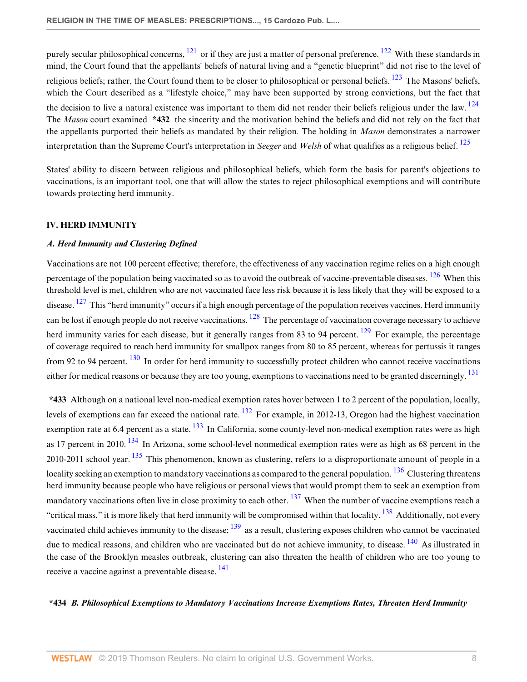purely secular philosophical concerns,  $^{121}$  or if they are just a matter of personal preference.  $^{122}$  With these standards in mind, the Court found that the appellants' beliefs of natural living and a "genetic blueprint" did not rise to the level of religious beliefs; rather, the Court found them to be closer to philosophical or personal beliefs.  $123$  The Masons' beliefs. which the Court described as a "lifestyle choice," may have been supported by strong convictions, but the fact that the decision to live a natural existence was important to them did not render their beliefs religious under the law.  $^{124}$ The Mason court examined \*432 the sincerity and the motivation behind the beliefs and did not rely on the fact that the appellants purported their beliefs as mandated by their religion. The holding in *Mason* demonstrates a narrower interpretation than the Supreme Court's interpretation in Seeger and Welsh of what qualifies as a religious belief.  $^{125}$ 

States' ability to discern between religious and philosophical beliefs, which form the basis for parent's objections to vaccinations, is an important tool, one that will allow the states to reject philosophical exemptions and will contribute towards protecting herd immunity.

# IV. HERD IMMUNITY

# A. Herd Immunity and Clustering Defined

Vaccinations are not 100 percent effective; therefore, the effectiveness of any vaccination regime relies on a high enough percentage of the population being vaccinated so as to avoid the outbreak of vaccine-preventable diseases.  $126$  When this threshold level is met, children who are not vaccinated face less risk because it is less likely that they will be exposed to a disease.  $^{127}$  This "herd immunity" occurs if a high enough percentage of the population receives vaccines. Herd immunity can be lost if enough people do not receive vaccinations.  $^{128}$  The percentage of vaccination coverage necessary to achieve herd immunity varies for each disease, but it generally ranges from 83 to 94 percent.  $129$  For example, the percentage of coverage required to reach herd immunity for smallpox ranges from 80 to 85 percent, whereas for pertussis it ranges from 92 to 94 percent.  $\frac{130}{10}$  In order for herd immunity to successfully protect children who cannot receive vaccinations either for medical reasons or because they are too young, exemptions to vaccinations need to be granted discerningly. <sup>131</sup>

\*433 Although on a national level non-medical exemption rates hover between 1 to 2 percent of the population, locally, levels of exemptions can far exceed the national rate. <sup>132</sup> For example, in 2012-13, Oregon had the highest vaccination exemption rate at 6.4 percent as a state.  $\frac{133}{10}$  In California, some county-level non-medical exemption rates were as high as 17 percent in 2010. <sup>134</sup> In Arizona, some school-level nonmedical exemption rates were as high as 68 percent in the 2010-2011 school year.  $135$  This phenomenon, known as clustering, refers to a disproportionate amount of people in a locality seeking an exemption to mandatory vaccinations as compared to the general population.  $136$  Clustering threatens herd immunity because people who have religious or personal views that would prompt them to seek an exemption from mandatory vaccinations often live in close proximity to each other.  $137$  When the number of vaccine exemptions reach a "critical mass," it is more likely that herd immunity will be compromised within that locality. <sup>138</sup> Additionally, not every vaccinated child achieves immunity to the disease;  $\frac{139}{13}$  as a result, clustering exposes children who cannot be vaccinated due to medical reasons, and children who are vaccinated but do not achieve immunity, to disease. <sup>140</sup> As illustrated in the case of the Brooklyn measles outbreak, clustering can also threaten the health of children who are too young to receive a vaccine against a preventable disease. <sup>141</sup>

# \*434 B. Philosophical Exemptions to Mandatory Vaccinations Increase Exemptions Rates, Threaten Herd Immunity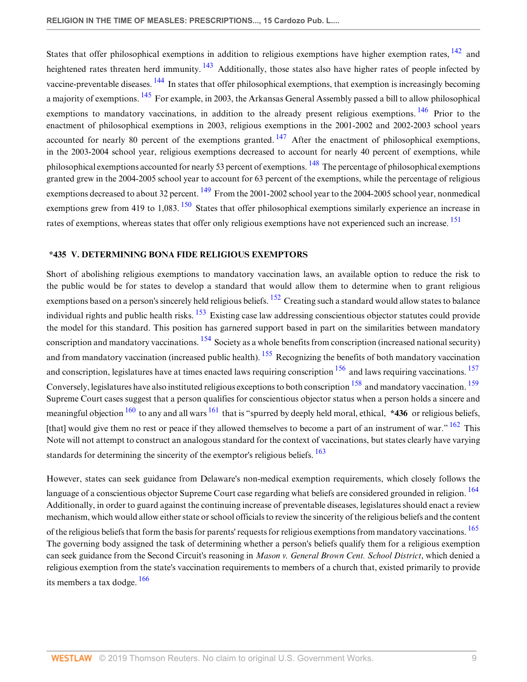States that offer philosophical exemptions in addition to religious exemptions have higher exemption rates,  $^{142}$  and heightened rates threaten herd immunity. <sup>143</sup> Additionally, those states also have higher rates of people infected by vaccine-preventable diseases. 144 In states that offer philosophical exemptions, that exemption is increasingly becoming a majority of exemptions. <sup>145</sup> For example, in 2003, the Arkansas General Assembly passed a bill to allow philosophical exemptions to mandatory vaccinations, in addition to the already present religious exemptions. <sup>146</sup> Prior to the enactment of philosophical exemptions in 2003, religious exemptions in the 2001-2002 and 2002-2003 school years accounted for nearly 80 percent of the exemptions granted.  $147$  After the enactment of philosophical exemptions, in the 2003-2004 school year, religious exemptions decreased to account for nearly 40 percent of exemptions, while philosophical exemptions accounted for nearly 53 percent of exemptions. <sup>148</sup> The percentage of philosophical exemptions granted grew in the 2004-2005 school year to account for 63 percent of the exemptions, while the percentage of religious exemptions decreased to about 32 percent.  $^{149}$  From the 2001-2002 school year to the 2004-2005 school year, nonmedical exemptions grew from 419 to 1,083.<sup>150</sup> States that offer philosophical exemptions similarly experience an increase in rates of exemptions, whereas states that offer only religious exemptions have not experienced such an increase. <sup>151</sup>

#### \*435 V. DETERMINING BONA FIDE RELIGIOUS EXEMPTORS

Short of abolishing religious exemptions to mandatory vaccination laws, an available option to reduce the risk to the public would be for states to develop a standard that would allow them to determine when to grant religious exemptions based on a person's sincerely held religious beliefs. <sup>152</sup> Creating such a standard would allow states to balance individual rights and public health risks. <sup>153</sup> Existing case law addressing conscientious objector statutes could provide the model for this standard. This position has garnered support based in part on the similarities between mandatory conscription and mandatory vaccinations. <sup>154</sup> Society as a whole benefits from conscription (increased national security) and from mandatory vaccination (increased public health). <sup>155</sup> Recognizing the benefits of both mandatory vaccination and conscription, legislatures have at times enacted laws requiring conscription  $156$  and laws requiring vaccinations.  $157$ Conversely, legislatures have also instituted religious exceptions to both conscription <sup>158</sup> and mandatory vaccination. <sup>159</sup> Supreme Court cases suggest that a person qualifies for conscientious objector status when a person holds a sincere and meaningful objection  $160$  to any and all wars  $161$  that is "spurred by deeply held moral, ethical, \*436 or religious beliefs, [that] would give them no rest or peace if they allowed themselves to become a part of an instrument of war." <sup>162</sup> This Note will not attempt to construct an analogous standard for the context of vaccinations, but states clearly have varying standards for determining the sincerity of the exemptor's religious beliefs. <sup>163</sup>

However, states can seek guidance from Delaware's non-medical exemption requirements, which closely follows the language of a conscientious objector Supreme Court case regarding what beliefs are considered grounded in religion. <sup>164</sup> Additionally, in order to guard against the continuing increase of preventable diseases, legislatures should enact a review mechanism, which would allow either state or school officials to review the sincerity of the religious beliefs and the content of the religious beliefs that form the basis for parents' requests for religious exemptions from mandatory vaccinations. <sup>165</sup> The governing body assigned the task of determining whether a person's beliefs qualify them for a religious exemption can seek guidance from the Second Circuit's reasoning in Mason v. General Brown Cent. School District, which denied a religious exemption from the state's vaccination requirements to members of a church that, existed primarily to provide its members a tax dodge.  $\frac{166}{166}$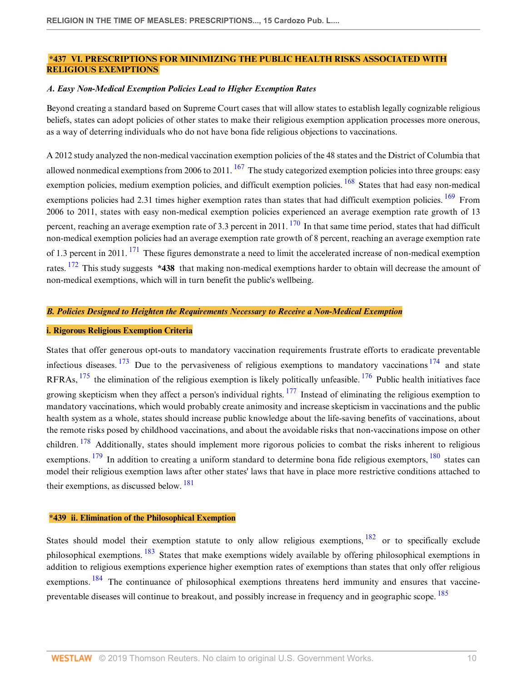# \*437 VI. PRESCRIPTIONS FOR MINIMIZING THE PUBLIC HEALTH RISKS ASSOCIATED WITH RELIGIOUS EXEMPTIONS

#### A. Easy Non-Medical Exemption Policies Lead to Higher Exemption Rates

Beyond creating a standard based on Supreme Court cases that will allow states to establish legally cognizable religious beliefs, states can adopt policies of other states to make their religious exemption application processes more onerous, as a way of deterring individuals who do not have bona fide religious objections to vaccinations.

A 2012 study analyzed the non-medical vaccination exemption policies of the 48 states and the District of Columbia that allowed nonmedical exemptions from 2006 to 2011.  $167$  The study categorized exemption policies into three groups: easy exemption policies, medium exemption policies, and difficult exemption policies. <sup>168</sup> States that had easy non-medical exemptions policies had 2.31 times higher exemption rates than states that had difficult exemption policies. <sup>169</sup> From 2006 to 2011, states with easy non-medical exemption policies experienced an average exemption rate growth of 13 percent, reaching an average exemption rate of 3.3 percent in 2011.  $^{170}$  In that same time period, states that had difficult non-medical exemption policies had an average exemption rate growth of 8 percent, reaching an average exemption rate of 1.3 percent in 2011. <sup>171</sup> These figures demonstrate a need to limit the accelerated increase of non-medical exemption rates.  $172$  This study suggests \*438 that making non-medical exemptions harder to obtain will decrease the amount of non-medical exemptions, which will in turn benefit the public's wellbeing.

#### B. Policies Designed to Heighten the Requirements Necessary to Receive a Non-Medical Exemption

### i. Rigorous Religious Exemption Criteria

States that offer generous opt-outs to mandatory vaccination requirements frustrate efforts to eradicate preventable infectious diseases.  $173$  Due to the pervasiveness of religious exemptions to mandatory vaccinations  $174$  and state RFRAs,  $^{175}$  the elimination of the religious exemption is likely politically unfeasible.  $^{176}$  Public health initiatives face growing skepticism when they affect a person's individual rights.  $177$  Instead of eliminating the religious exemption to mandatory vaccinations, which would probably create animosity and increase skepticism in vaccinations and the public health system as a whole, states should increase public knowledge about the life-saving benefits of vaccinations, about the remote risks posed by childhood vaccinations, and about the avoidable risks that non-vaccinations impose on other children.  $178$  Additionally, states should implement more rigorous policies to combat the risks inherent to religious exemptions.  $179$  In addition to creating a uniform standard to determine bona fide religious exemptors,  $180$  states can model their religious exemption laws after other states' laws that have in place more restrictive conditions attached to their exemptions, as discussed below.  $^{181}$ 

# \*439 ii. Elimination of the Philosophical Exemption

States should model their exemption statute to only allow religious exemptions, <sup>182</sup> or to specifically exclude philosophical exemptions. <sup>183</sup> States that make exemptions widely available by offering philosophical exemptions in addition to religious exemptions experience higher exemption rates of exemptions than states that only offer religious exemptions. <sup>184</sup> The continuance of philosophical exemptions threatens herd immunity and ensures that vaccinepreventable diseases will continue to breakout, and possibly increase in frequency and in geographic scope. <sup>185</sup>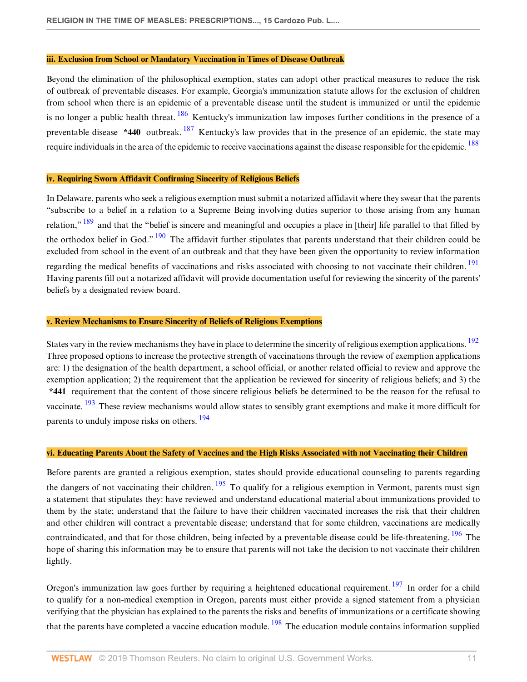### iii. Exclusion from School or Mandatory Vaccination in Times of Disease Outbreak

Beyond the elimination of the philosophical exemption, states can adopt other practical measures to reduce the risk of outbreak of preventable diseases. For example, Georgia's immunization statute allows for the exclusion of children from school when there is an epidemic of a preventable disease until the student is immunized or until the epidemic is no longer a public health threat.  $\frac{186}{180}$  Kentucky's immunization law imposes further conditions in the presence of a preventable disease \*440 outbreak.  $187$  Kentucky's law provides that in the presence of an epidemic, the state may require individuals in the area of the epidemic to receive vaccinations against the disease responsible for the epidemic. <sup>188</sup>

#### iv. Requiring Sworn Affidavit Confirming Sincerity of Religious Beliefs

In Delaware, parents who seek a religious exemption must submit a notarized affidavit where they swear that the parents "subscribe to a belief in a relation to a Supreme Being involving duties superior to those arising from any human relation,"  $\frac{189}{189}$  and that the "belief is sincere and meaningful and occupies a place in [their] life parallel to that filled by the orthodox belief in God." <sup>190</sup> The affidavit further stipulates that parents understand that their children could be excluded from school in the event of an outbreak and that they have been given the opportunity to review information regarding the medical benefits of vaccinations and risks associated with choosing to not vaccinate their children.<sup>191</sup> Having parents fill out a notarized affidavit will provide documentation useful for reviewing the sincerity of the parents' beliefs by a designated review board.

#### v. Review Mechanisms to Ensure Sincerity of Beliefs of Religious Exemptions

States vary in the review mechanisms they have in place to determine the sincerity of religious exemption applications. <sup>192</sup> Three proposed options to increase the protective strength of vaccinations through the review of exemption applications are: 1) the designation of the health department, a school official, or another related official to review and approve the exemption application; 2) the requirement that the application be reviewed for sincerity of religious beliefs; and 3) the \*441 requirement that the content of those sincere religious beliefs be determined to be the reason for the refusal to vaccinate. <sup>193</sup> These review mechanisms would allow states to sensibly grant exemptions and make it more difficult for parents to unduly impose risks on others. <sup>194</sup>

#### vi. Educating Parents About the Safety of Vaccines and the High Risks Associated with not Vaccinating their Children

Before parents are granted a religious exemption, states should provide educational counseling to parents regarding the dangers of not vaccinating their children.  $\frac{195}{195}$  To qualify for a religious exemption in Vermont, parents must sign a statement that stipulates they: have reviewed and understand educational material about immunizations provided to them by the state; understand that the failure to have their children vaccinated increases the risk that their children and other children will contract a preventable disease; understand that for some children, vaccinations are medically

contraindicated, and that for those children, being infected by a preventable disease could be life-threatening. <sup>196</sup> The hope of sharing this information may be to ensure that parents will not take the decision to not vaccinate their children lightly.

Oregon's immunization law goes further by requiring a heightened educational requirement. <sup>197</sup> In order for a child to qualify for a non-medical exemption in Oregon, parents must either provide a signed statement from a physician verifying that the physician has explained to the parents the risks and benefits of immunizations or a certificate showing that the parents have completed a vaccine education module.  $\frac{198}{198}$  The education module contains information supplied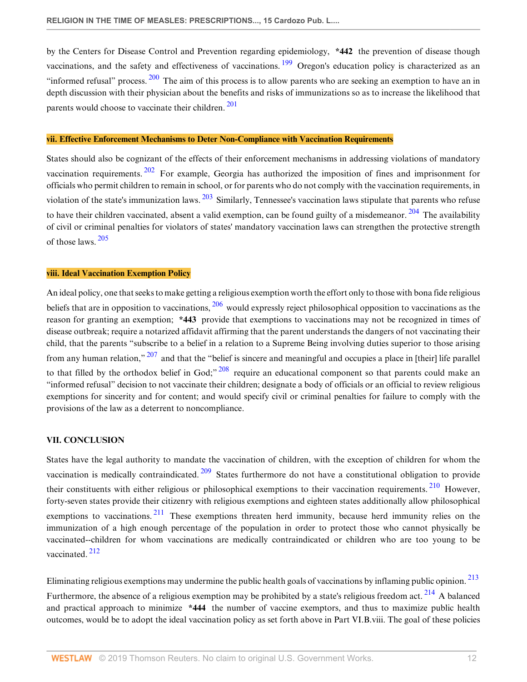by the Centers for Disease Control and Prevention regarding epidemiology, \*442 the prevention of disease though vaccinations, and the safety and effectiveness of vaccinations. <sup>199</sup> Oregon's education policy is characterized as an "informed refusal" process. <sup>200</sup> The aim of this process is to allow parents who are seeking an exemption to have an in depth discussion with their physician about the benefits and risks of immunizations so as to increase the likelihood that parents would choose to vaccinate their children. <sup>201</sup>

#### vii. Effective Enforcement Mechanisms to Deter Non-Compliance with Vaccination Requirements

States should also be cognizant of the effects of their enforcement mechanisms in addressing violations of mandatory vaccination requirements.  $202$  For example, Georgia has authorized the imposition of fines and imprisonment for officials who permit children to remain in school, or for parents who do not comply with the vaccination requirements, in violation of the state's immunization laws.  $\frac{203}{2}$  Similarly, Tennessee's vaccination laws stipulate that parents who refuse to have their children vaccinated, absent a valid exemption, can be found guilty of a misdemeanor.  $204$  The availability of civil or criminal penalties for violators of states' mandatory vaccination laws can strengthen the protective strength of those laws. <sup>205</sup>

#### viii. Ideal Vaccination Exemption Policy

An ideal policy, one that seeks to make getting a religious exemption worth the effort only to those with bona fide religious beliefs that are in opposition to vaccinations,  $\frac{206}{3}$  would expressly reject philosophical opposition to vaccinations as the reason for granting an exemption; \*443 provide that exemptions to vaccinations may not be recognized in times of disease outbreak; require a notarized affidavit affirming that the parent understands the dangers of not vaccinating their child, that the parents "subscribe to a belief in a relation to a Supreme Being involving duties superior to those arising from any human relation,"  $207$  and that the "belief is sincere and meaningful and occupies a place in [their] life parallel to that filled by the orthodox belief in God;<sup>" 208</sup> require an educational component so that parents could make an "informed refusal" decision to not vaccinate their children; designate a body of officials or an official to review religious exemptions for sincerity and for content; and would specify civil or criminal penalties for failure to comply with the provisions of the law as a deterrent to noncompliance.

# VII. CONCLUSION

States have the legal authority to mandate the vaccination of children, with the exception of children for whom the vaccination is medically contraindicated.  $209$  States furthermore do not have a constitutional obligation to provide their constituents with either religious or philosophical exemptions to their vaccination requirements. <sup>210</sup> However, forty-seven states provide their citizenry with religious exemptions and eighteen states additionally allow philosophical exemptions to vaccinations.  $211$  These exemptions threaten herd immunity, because herd immunity relies on the immunization of a high enough percentage of the population in order to protect those who cannot physically be vaccinated--children for whom vaccinations are medically contraindicated or children who are too young to be vaccinated. <sup>212</sup>

Eliminating religious exemptions may undermine the public health goals of vaccinations by inflaming public opinion. <sup>213</sup> Furthermore, the absence of a religious exemption may be prohibited by a state's religious freedom act.  $^{214}$  A balanced and practical approach to minimize \*444 the number of vaccine exemptors, and thus to maximize public health outcomes, would be to adopt the ideal vaccination policy as set forth above in Part VI.B.viii. The goal of these policies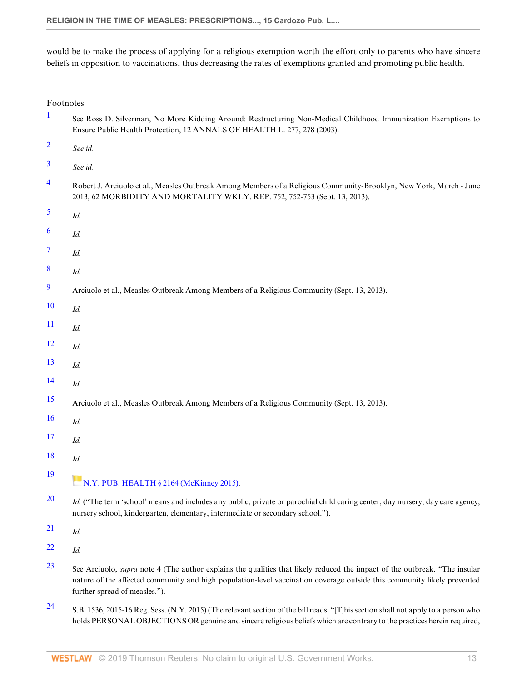would be to make the process of applying for a religious exemption worth the effort only to parents who have sincere beliefs in opposition to vaccinations, thus decreasing the rates of exemptions granted and promoting public health.

| Footnotes |
|-----------|
|-----------|

| $\mathbf{1}$             | See Ross D. Silverman, No More Kidding Around: Restructuring Non-Medical Childhood Immunization Exemptions to<br>Ensure Public Health Protection, 12 ANNALS OF HEALTH L. 277, 278 (2003).                                                                                                     |
|--------------------------|-----------------------------------------------------------------------------------------------------------------------------------------------------------------------------------------------------------------------------------------------------------------------------------------------|
| $\overline{2}$           | See id.                                                                                                                                                                                                                                                                                       |
| 3                        | See id.                                                                                                                                                                                                                                                                                       |
| $\overline{4}$           | Robert J. Arciuolo et al., Measles Outbreak Among Members of a Religious Community-Brooklyn, New York, March - June<br>2013, 62 MORBIDITY AND MORTALITY WKLY. REP. 752, 752-753 (Sept. 13, 2013).                                                                                             |
| 5                        | Id.                                                                                                                                                                                                                                                                                           |
| 6                        | Id.                                                                                                                                                                                                                                                                                           |
| $\overline{\mathcal{I}}$ | Id.                                                                                                                                                                                                                                                                                           |
| 8                        | Id.                                                                                                                                                                                                                                                                                           |
| 9                        | Arciuolo et al., Measles Outbreak Among Members of a Religious Community (Sept. 13, 2013).                                                                                                                                                                                                    |
| <b>10</b>                | Id.                                                                                                                                                                                                                                                                                           |
| 11                       | Id.                                                                                                                                                                                                                                                                                           |
| 12                       | Id.                                                                                                                                                                                                                                                                                           |
| 13                       | Id.                                                                                                                                                                                                                                                                                           |
| 14                       | Id.                                                                                                                                                                                                                                                                                           |
| 15                       | Arciuolo et al., Measles Outbreak Among Members of a Religious Community (Sept. 13, 2013).                                                                                                                                                                                                    |
| <b>16</b>                | Id.                                                                                                                                                                                                                                                                                           |
| 17                       | Id.                                                                                                                                                                                                                                                                                           |
| 18                       | Id.                                                                                                                                                                                                                                                                                           |
| 19                       | N.Y. PUB. HEALTH § 2164 (McKinney 2015).                                                                                                                                                                                                                                                      |
| <b>20</b>                | <i>Id.</i> ("The term 'school' means and includes any public, private or parochial child caring center, day nursery, day care agency,<br>nursery school, kindergarten, elementary, intermediate or secondary school.").                                                                       |
| 21                       | Id.                                                                                                                                                                                                                                                                                           |
| 22                       | Id.                                                                                                                                                                                                                                                                                           |
| 23                       | See Arciuolo, <i>supra</i> note 4 (The author explains the qualities that likely reduced the impact of the outbreak. "The insular<br>nature of the affected community and high population-level vaccination coverage outside this community likely prevented<br>further spread of measles."). |
|                          |                                                                                                                                                                                                                                                                                               |

24 S.B. 1536, 2015-16 Reg. Sess. (N.Y. 2015) (The relevant section of the bill reads: "[T]his section shall not apply to a person who holds PERSONAL OBJECTIONS OR genuine and sincere religious beliefs which are contrary to the practices herein required,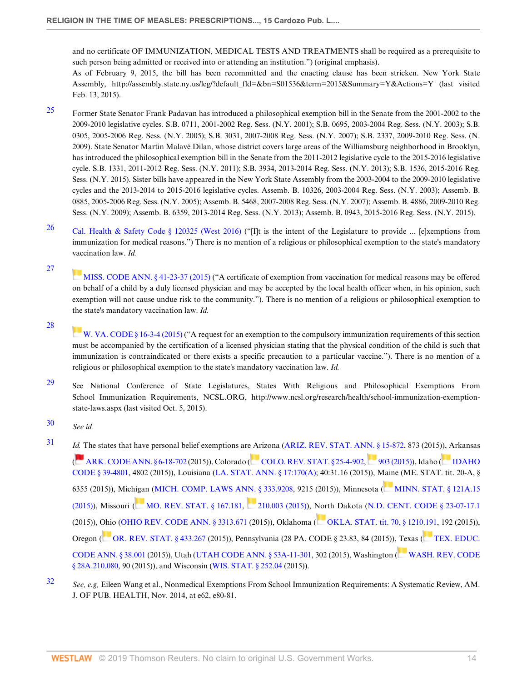and no certificate OF IMMUNIZATION, MEDICAL TESTS AND TREATMENTS shall be required as a prerequisite to such person being admitted or received into or attending an institution.") (original emphasis). As of February 9, 2015, the bill has been recommitted and the enacting clause has been stricken. New York State

Assembly, http://assembly.state.ny.us/leg/?default\_fld=&bn=S01536&term=2015&Summary=Y&Actions=Y (last visited Feb. 13, 2015).

- <sup>25</sup> Former State Senator Frank Padavan has introduced a philosophical exemption bill in the Senate from the 2001-2002 to the 2009-2010 legislative cycles. S.B. 0711, 2001-2002 Reg. Sess. (N.Y. 2001); S.B. 0695, 2003-2004 Reg. Sess. (N.Y. 2003); S.B. 0305, 2005-2006 Reg. Sess. (N.Y. 2005); S.B. 3031, 2007-2008 Reg. Sess. (N.Y. 2007); S.B. 2337, 2009-2010 Reg. Sess. (N. 2009). State Senator Martin Malavé Dilan, whose district covers large areas of the Williamsburg neighborhood in Brooklyn, has introduced the philosophical exemption bill in the Senate from the 2011-2012 legislative cycle to the 2015-2016 legislative cycle. S.B. 1331, 2011-2012 Reg. Sess. (N.Y. 2011); S.B. 3934, 2013-2014 Reg. Sess. (N.Y. 2013); S.B. 1536, 2015-2016 Reg. Sess. (N.Y. 2015). Sister bills have appeared in the New York State Assembly from the 2003-2004 to the 2009-2010 legislative cycles and the 2013-2014 to 2015-2016 legislative cycles. Assemb. B. 10326, 2003-2004 Reg. Sess. (N.Y. 2003); Assemb. B. 0885, 2005-2006 Reg. Sess. (N.Y. 2005); Assemb. B. 5468, 2007-2008 Reg. Sess. (N.Y. 2007); Assemb. B. 4886, 2009-2010 Reg. Sess. (N.Y. 2009); Assemb. B. 6359, 2013-2014 Reg. Sess. (N.Y. 2013); Assemb. B. 0943, 2015-2016 Reg. Sess. (N.Y. 2015).
- 26 Cal. Health & Safety Code § 120325 (West 2016) ("[I]t is the intent of the Legislature to provide ... [e]xemptions from immunization for medical reasons.") There is no mention of a religious or philosophical exemption to the state's mandatory vaccination law. Id.

27

MISS. CODE ANN. § 41-23-37 (2015) ("A certificate of exemption from vaccination for medical reasons may be offered on behalf of a child by a duly licensed physician and may be accepted by the local health officer when, in his opinion, such exemption will not cause undue risk to the community."). There is no mention of a religious or philosophical exemption to the state's mandatory vaccination law. Id.

28

W. VA. CODE § 16-3-4 (2015) ("A request for an exemption to the compulsory immunization requirements of this section must be accompanied by the certification of a licensed physician stating that the physical condition of the child is such that immunization is contraindicated or there exists a specific precaution to a particular vaccine."). There is no mention of a religious or philosophical exemption to the state's mandatory vaccination law. Id.

29 See National Conference of State Legislatures, States With Religious and Philosophical Exemptions From School Immunization Requirements, NCSL.ORG, http://www.ncsl.org/research/health/school-immunization-exemptionstate-laws.aspx (last visited Oct. 5, 2015).

- 31 *Id.* The states that have personal belief exemptions are Arizona (ARIZ. REV. STAT. ANN. § 15-872, 873 (2015)), Arkansas ( ARK. CODE ANN. § 6-18-702 (2015)), Colorado ( COLO. REV. STAT. § 25-4-902, 903 (2015)), Idaho ( IDAHO CODE § 39-4801, 4802 (2015)), Louisiana (LA. STAT. ANN. § 17:170(A); 40:31.16 (2015)), Maine (ME. STAT. tit. 20-A, § 6355 (2015)), Michigan (MICH. COMP. LAWS ANN. § 333.9208, 9215 (2015)), Minnesota (MINN. STAT. § 121A.15 (2015)), Missouri (MO. REV. STAT. § 167.181, 210.003 (2015)), North Dakota (N.D. CENT. CODE § 23-07-17.1 (2015)), Ohio (OHIO REV. CODE ANN. § 3313.671 (2015)), Oklahoma ( OKLA. STAT. tit. 70, § 1210.191, 192 (2015)), Oregon ( OR. REV. STAT. § 433.267 (2015)), Pennsylvania (28 PA. CODE § 23.83, 84 (2015)), Texas ( TEX. EDUC. CODE ANN. § 38.001 (2015)), Utah (UTAH CODE ANN. § 53A-11-301, 302 (2015), Washington ( WASH. REV. CODE § 28A.210.080, 90 (2015)), and Wisconsin (WIS. STAT. § 252.04 (2015)).
- $32$  See, e.g, Eileen Wang et al., Nonmedical Exemptions From School Immunization Requirements: A Systematic Review, AM. J. OF PUB. HEALTH, Nov. 2014, at e62, e80-81.

<sup>30</sup> See id.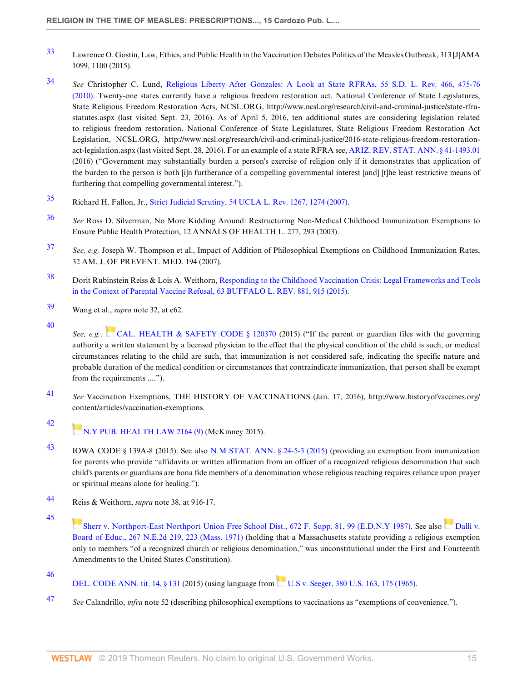- 33 Lawrence O. Gostin, Law, Ethics, and Public Health in the Vaccination Debates Politics of the Measles Outbreak, 313 [J]AMA 1099, 1100 (2015).
- 34 See Christopher C. Lund, Religious Liberty After Gonzales: A Look at State RFRAs, 55 S.D. L. Rev. 466, 475-76 (2010). Twenty-one states currently have a religious freedom restoration act. National Conference of State Legislatures, State Religious Freedom Restoration Acts, NCSL.ORG, http://www.ncsl.org/research/civil-and-criminal-justice/state-rfrastatutes.aspx (last visited Sept. 23, 2016). As of April 5, 2016, ten additional states are considering legislation related to religious freedom restoration. National Conference of State Legislatures, State Religious Freedom Restoration Act Legislation, NCSL.ORG, http://www.ncsl.org/research/civil-and-criminal-justice/2016-state-religious-freedom-restorationact-legislation.aspx (last visited Sept. 28, 2016). For an example of a state RFRA see, ARIZ. REV. STAT. ANN. § 41-1493.01 (2016) ("Government may substantially burden a person's exercise of religion only if it demonstrates that application of the burden to the person is both [i]n furtherance of a compelling governmental interest [and] [t]he least restrictive means of furthering that compelling governmental interest.").
- 35 Richard H. Fallon, Jr., Strict Judicial Scrutiny, 54 UCLA L. Rev. 1267, 1274 (2007).
- <sup>36</sup> See Ross D. Silverman, No More Kidding Around: Restructuring Non-Medical Childhood Immunization Exemptions to Ensure Public Health Protection, 12 ANNALS OF HEALTH L. 277, 293 (2003).
- $37$  See, e.g, Joseph W. Thompson et al., Impact of Addition of Philosophical Exemptions on Childhood Immunization Rates, 32 AM. J. OF PREVENT. MED. 194 (2007).
- 38 Dorit Rubinstein Reiss & Lois A. Weithorn, Responding to the Childhood Vaccination Crisis: Legal Frameworks and Tools in the Context of Parental Vaccine Refusal, 63 BUFFALO L. REV. 881, 915 (2015).
- 39 Wang et al., supra note 32, at e62.
- 40

See, e.g., CAL. HEALTH & SAFETY CODE § 120370 (2015) ("If the parent or guardian files with the governing authority a written statement by a licensed physician to the effect that the physical condition of the child is such, or medical circumstances relating to the child are such, that immunization is not considered safe, indicating the specific nature and probable duration of the medical condition or circumstances that contraindicate immunization, that person shall be exempt from the requirements ....").

- 41 See Vaccination Exemptions, THE HISTORY OF VACCINATIONS (Jan. 17, 2016), http://www.historyofvaccines.org/ content/articles/vaccination-exemptions.
- 42 N.Y PUB. HEALTH LAW 2164 (9) (McKinney 2015).
- 43 IOWA CODE § 139A-8 (2015). See also N.M STAT. ANN. § 24-5-3 (2015) (providing an exemption from immunization for parents who provide "affidavits or written affirmation from an officer of a recognized religious denomination that such child's parents or guardians are bona fide members of a denomination whose religious teaching requires reliance upon prayer or spiritual means alone for healing.").
- 44 Reiss & Weithorn, supra note 38, at 916-17.
- 45
	- Sherr v. Northport-East Northport Union Free School Dist., 672 F. Supp. 81, 99 (E.D.N.Y 1987). See also Dalli v. Board of Educ., 267 N.E.2d 219, 223 (Mass. 1971) (holding that a Massachusetts statute providing a religious exemption only to members "of a recognized church or religious denomination," was unconstitutional under the First and Fourteenth Amendments to the United States Constitution).
- 46

DEL. CODE ANN. tit. 14, § 131 (2015) (using language from U.S. v. Seeger, 380 U.S. 163, 175 (1965).

47 See Calandrillo, *infra* note 52 (describing philosophical exemptions to vaccinations as "exemptions of convenience.").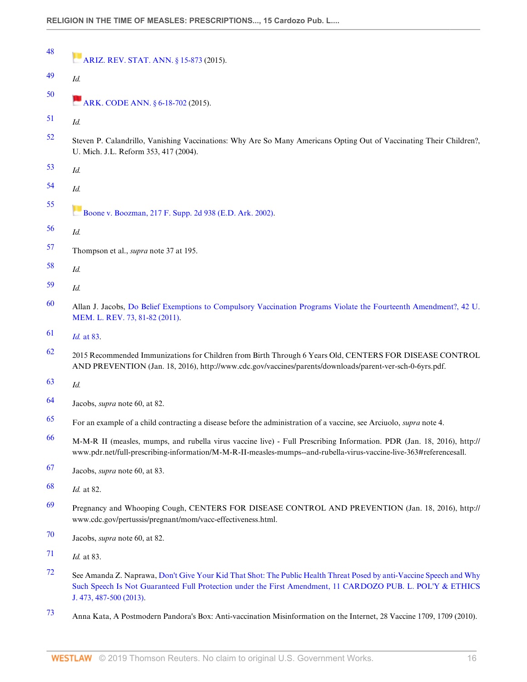| 48 | <b>ARIZ. REV. STAT. ANN.</b> § 15-873 (2015).                                                                                                                                                                                                                |
|----|--------------------------------------------------------------------------------------------------------------------------------------------------------------------------------------------------------------------------------------------------------------|
| 49 | Id.                                                                                                                                                                                                                                                          |
| 50 | ARK. CODE ANN. § 6-18-702 (2015).                                                                                                                                                                                                                            |
| 51 | Id.                                                                                                                                                                                                                                                          |
| 52 | Steven P. Calandrillo, Vanishing Vaccinations: Why Are So Many Americans Opting Out of Vaccinating Their Children?,<br>U. Mich. J.L. Reform 353, 417 (2004).                                                                                                 |
| 53 | Id.                                                                                                                                                                                                                                                          |
| 54 | Id.                                                                                                                                                                                                                                                          |
| 55 | Boone v. Boozman, 217 F. Supp. 2d 938 (E.D. Ark. 2002).                                                                                                                                                                                                      |
| 56 | Id.                                                                                                                                                                                                                                                          |
| 57 | Thompson et al., <i>supra</i> note 37 at 195.                                                                                                                                                                                                                |
| 58 | Id.                                                                                                                                                                                                                                                          |
| 59 | Id.                                                                                                                                                                                                                                                          |
| 60 | Allan J. Jacobs, Do Belief Exemptions to Compulsory Vaccination Programs Violate the Fourteenth Amendment?, 42 U.<br>MEM. L. REV. 73, 81-82 (2011).                                                                                                          |
| 61 | Id. at 83.                                                                                                                                                                                                                                                   |
| 62 | 2015 Recommended Immunizations for Children from Birth Through 6 Years Old, CENTERS FOR DISEASE CONTROL<br>AND PREVENTION (Jan. 18, 2016), http://www.cdc.gov/vaccines/parents/downloads/parent-ver-sch-0-6yrs.pdf.                                          |
| 63 | Id.                                                                                                                                                                                                                                                          |
| 64 | Jacobs, <i>supra</i> note 60, at 82.                                                                                                                                                                                                                         |
| 65 | For an example of a child contracting a disease before the administration of a vaccine, see Arciuolo, supra note 4.                                                                                                                                          |
| 66 | M-M-R II (measles, mumps, and rubella virus vaccine live) - Full Prescribing Information. PDR (Jan. 18, 2016), http://<br>www.pdr.net/full-prescribing-information/M-M-R-II-measles-mumps--and-rubella-virus-vaccine-live-363#referencesall.                 |
| 67 | Jacobs, <i>supra</i> note 60, at 83.                                                                                                                                                                                                                         |
| 68 | Id. at 82.                                                                                                                                                                                                                                                   |
| 69 | Pregnancy and Whooping Cough, CENTERS FOR DISEASE CONTROL AND PREVENTION (Jan. 18, 2016), http://<br>www.cdc.gov/pertussis/pregnant/mom/vacc-effectiveness.html.                                                                                             |
| 70 | Jacobs, <i>supra</i> note 60, at 82.                                                                                                                                                                                                                         |
| 71 | Id. at 83.                                                                                                                                                                                                                                                   |
| 72 | See Amanda Z. Naprawa, Don't Give Your Kid That Shot: The Public Health Threat Posed by anti-Vaccine Speech and Why<br>Such Speech Is Not Guaranteed Full Protection under the First Amendment, 11 CARDOZO PUB. L. POL'Y & ETHICS<br>J. 473, 487-500 (2013). |
|    |                                                                                                                                                                                                                                                              |

73 Anna Kata, A Postmodern Pandora's Box: Anti-vaccination Misinformation on the Internet, 28 Vaccine 1709, 1709 (2010).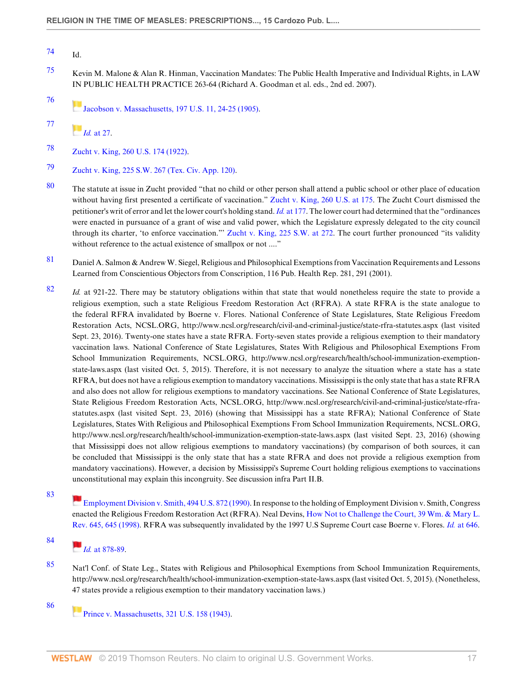77

- 75 Kevin M. Malone & Alan R. Hinman, Vaccination Mandates: The Public Health Imperative and Individual Rights, in LAW IN PUBLIC HEALTH PRACTICE 263-64 (Richard A. Goodman et al. eds., 2nd ed. 2007).
- 76 Jacobson v. Massachusetts, 197 U.S. 11, 24-25 (1905).

78 Zucht v. King, 260 U.S. 174 (1922).

79 Zucht v. King, 225 S.W. 267 (Tex. Civ. App. 120).

- 80 The statute at issue in Zucht provided "that no child or other person shall attend a public school or other place of education without having first presented a certificate of vaccination." Zucht v. King, 260 U.S. at 175. The Zucht Court dismissed the petitioner's writ of error and let the lower court's holding stand. Id. at 177. The lower court had determined that the "ordinances" were enacted in pursuance of a grant of wise and valid power, which the Legislature expressly delegated to the city council through its charter, 'to enforce vaccination."' Zucht v. King, 225 S.W. at 272. The court further pronounced "its validity without reference to the actual existence of smallpox or not ...."
- 81 Daniel A. Salmon & Andrew W. Siegel, Religious and Philosophical Exemptions from Vaccination Requirements and Lessons Learned from Conscientious Objectors from Conscription, 116 Pub. Health Rep. 281, 291 (2001).
- $82$  Id. at 921-22. There may be statutory obligations within that state that would nonetheless require the state to provide a religious exemption, such a state Religious Freedom Restoration Act (RFRA). A state RFRA is the state analogue to the federal RFRA invalidated by Boerne v. Flores. National Conference of State Legislatures, State Religious Freedom Restoration Acts, NCSL.ORG, http://www.ncsl.org/research/civil-and-criminal-justice/state-rfra-statutes.aspx (last visited Sept. 23, 2016). Twenty-one states have a state RFRA. Forty-seven states provide a religious exemption to their mandatory vaccination laws. National Conference of State Legislatures, States With Religious and Philosophical Exemptions From School Immunization Requirements, NCSL.ORG, http://www.ncsl.org/research/health/school-immunization-exemptionstate-laws.aspx (last visited Oct. 5, 2015). Therefore, it is not necessary to analyze the situation where a state has a state RFRA, but does not have a religious exemption to mandatory vaccinations. Mississippi is the only state that has a state RFRA and also does not allow for religious exemptions to mandatory vaccinations. See National Conference of State Legislatures, State Religious Freedom Restoration Acts, NCSL.ORG, http://www.ncsl.org/research/civil-and-criminal-justice/state-rfrastatutes.aspx (last visited Sept. 23, 2016) (showing that Mississippi has a state RFRA); National Conference of State Legislatures, States With Religious and Philosophical Exemptions From School Immunization Requirements, NCSL.ORG, http://www.ncsl.org/research/health/school-immunization-exemption-state-laws.aspx (last visited Sept. 23, 2016) (showing that Mississippi does not allow religious exemptions to mandatory vaccinations) (by comparison of both sources, it can be concluded that Mississippi is the only state that has a state RFRA and does not provide a religious exemption from mandatory vaccinations). However, a decision by Mississippi's Supreme Court holding religious exemptions to vaccinations unconstitutional may explain this incongruity. See discussion infra Part II.B.
- 83

Employment Division v. Smith, 494 U.S. 872 (1990). In response to the holding of Employment Division v. Smith, Congress enacted the Religious Freedom Restoration Act (RFRA). Neal Devins, How Not to Challenge the Court, 39 Wm. & Mary L. Rev. 645, 645 (1998). RFRA was subsequently invalidated by the 1997 U.S Supreme Court case Boerne v. Flores. Id. at 646.

# $I_{d.}$  at 878-89.

85 Nat'l Conf. of State Leg., States with Religious and Philosophical Exemptions from School Immunization Requirements, http://www.ncsl.org/research/health/school-immunization-exemption-state-laws.aspx (last visited Oct. 5, 2015). (Nonetheless, 47 states provide a religious exemption to their mandatory vaccination laws.)

86

Prince v. Massachusetts, 321 U.S. 158 (1943).

<sup>74</sup> Id.

 $H$   $Id.$  at 27.

<sup>84</sup>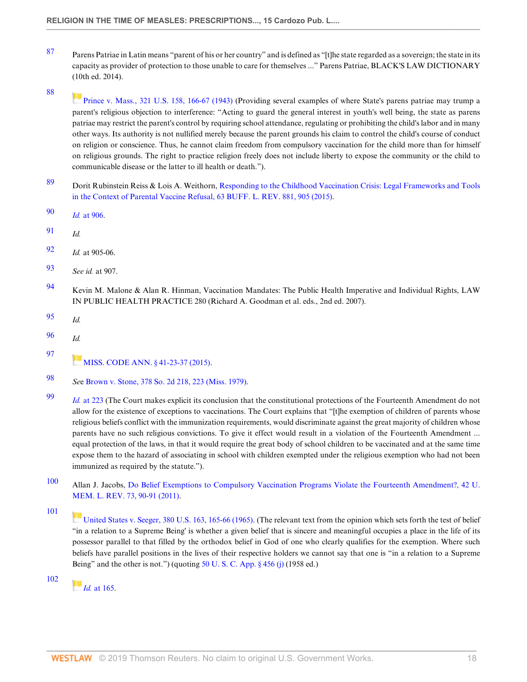- 87 Parens Patriae in Latin means "parent of his or her country" and is defined as "[t]he state regarded as a sovereign; the state in its capacity as provider of protection to those unable to care for themselves ..." Parens Patriae, BLACK'S LAW DICTIONARY (10th ed. 2014).
- 88

Prince v. Mass., 321 U.S. 158, 166-67 (1943) (Providing several examples of where State's parens patriae may trump a parent's religious objection to interference: "Acting to guard the general interest in youth's well being, the state as parens patriae may restrict the parent's control by requiring school attendance, regulating or prohibiting the child's labor and in many other ways. Its authority is not nullified merely because the parent grounds his claim to control the child's course of conduct on religion or conscience. Thus, he cannot claim freedom from compulsory vaccination for the child more than for himself on religious grounds. The right to practice religion freely does not include liberty to expose the community or the child to communicable disease or the latter to ill health or death.").

- 89 Dorit Rubinstein Reiss & Lois A. Weithorn, Responding to the Childhood Vaccination Crisis: Legal Frameworks and Tools in the Context of Parental Vaccine Refusal, 63 BUFF. L. REV. 881, 905 (2015).
- 90 Id. at 906.
- $91$  Id.
- 92 Id. at 905-06.
- 93 See id. at 907.
- 94 Kevin M. Malone & Alan R. Hinman, Vaccination Mandates: The Public Health Imperative and Individual Rights, LAW IN PUBLIC HEALTH PRACTICE 280 (Richard A. Goodman et al. eds., 2nd ed. 2007).
- 95 Id.
- $96$  Id.

97

- **MISS. CODE ANN.** § 41-23-37 (2015).
- 98 See Brown v. Stone, 378 So. 2d 218, 223 (Miss. 1979).
- 99 Id. at 223 (The Court makes explicit its conclusion that the constitutional protections of the Fourteenth Amendment do not allow for the existence of exceptions to vaccinations. The Court explains that "[t]he exemption of children of parents whose religious beliefs conflict with the immunization requirements, would discriminate against the great majority of children whose parents have no such religious convictions. To give it effect would result in a violation of the Fourteenth Amendment ... equal protection of the laws, in that it would require the great body of school children to be vaccinated and at the same time expose them to the hazard of associating in school with children exempted under the religious exemption who had not been immunized as required by the statute.").
- 100 Allan J. Jacobs, Do Belief Exemptions to Compulsory Vaccination Programs Violate the Fourteenth Amendment?, 42 U. MEM. L. REV. 73, 90-91 (2011).

101

United States v. Seeger, 380 U.S. 163, 165-66 (1965). (The relevant text from the opinion which sets forth the test of belief "in a relation to a Supreme Being' is whether a given belief that is sincere and meaningful occupies a place in the life of its possessor parallel to that filled by the orthodox belief in God of one who clearly qualifies for the exemption. Where such beliefs have parallel positions in the lives of their respective holders we cannot say that one is "in a relation to a Supreme Being" and the other is not.") (quoting  $50$  U. S. C. App.  $\S$  456 (j) (1958 ed.)

102

 $I_d$  at 165.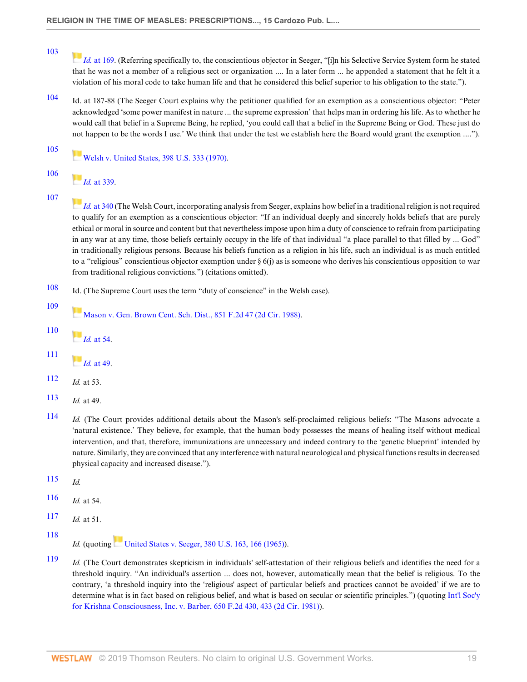Id. at 169. (Referring specifically to, the conscientious objector in Seeger, "[i]n his Selective Service System form he stated that he was not a member of a religious sect or organization .... In a later form ... he appended a statement that he felt it a violation of his moral code to take human life and that he considered this belief superior to his obligation to the state.").

104 Id. at 187-88 (The Seeger Court explains why the petitioner qualified for an exemption as a conscientious objector: "Peter acknowledged 'some power manifest in nature ... the supreme expression' that helps man in ordering his life. As to whether he would call that belief in a Supreme Being, he replied, 'you could call that a belief in the Supreme Being or God. These just do not happen to be the words I use.' We think that under the test we establish here the Board would grant the exemption ....").

Welsh v. United States, 398 U.S. 333 (1970).

- 106  $Id.$  at 339.
- 107

105

103

Id. at 340 (The Welsh Court, incorporating analysis from Seeger, explains how belief in a traditional religion is not required to qualify for an exemption as a conscientious objector: "If an individual deeply and sincerely holds beliefs that are purely ethical or moral in source and content but that nevertheless impose upon him a duty of conscience to refrain from participating in any war at any time, those beliefs certainly occupy in the life of that individual "a place parallel to that filled by ... God" in traditionally religious persons. Because his beliefs function as a religion in his life, such an individual is as much entitled to a "religious" conscientious objector exemption under  $\S 6(j)$  as is someone who derives his conscientious opposition to war from traditional religious convictions.") (citations omitted).

- 108 Id. (The Supreme Court uses the term "duty of conscience" in the Welsh case).
	- Mason v. Gen. Brown Cent. Sch. Dist., 851 F.2d 47 (2d Cir. 1988).
- 110

109

 $\blacksquare$ Id. at 54.

- 111
	- $H_{dd}$  at 49.
- 112 *Id.* at 53.
- 113  $Id$  at 49.
- 114 Id. (The Court provides additional details about the Mason's self-proclaimed religious beliefs: "The Masons advocate a 'natural existence.' They believe, for example, that the human body possesses the means of healing itself without medical intervention, and that, therefore, immunizations are unnecessary and indeed contrary to the 'genetic blueprint' intended by nature. Similarly, they are convinced that any interference with natural neurological and physical functions results in decreased physical capacity and increased disease.").
- $115$  *Id.*
- 116  $Id$  at 54.
- 117 *Id.* at 51.
- 118

Id. (quoting United States v. Seeger, 380 U.S. 163, 166 (1965)).

119 *Id.* (The Court demonstrates skepticism in individuals' self-attestation of their religious beliefs and identifies the need for a threshold inquiry. "An individual's assertion ... does not, however, automatically mean that the belief is religious. To the contrary, 'a threshold inquiry into the 'religious' aspect of particular beliefs and practices cannot be avoided' if we are to determine what is in fact based on religious belief, and what is based on secular or scientific principles.") (quoting Int'l Soc'y for Krishna Consciousness, Inc. v. Barber, 650 F.2d 430, 433 (2d Cir. 1981)).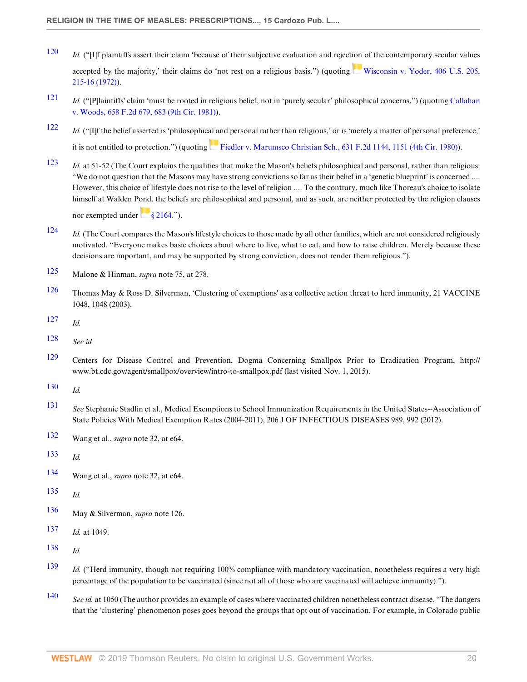- $120$  *Id.* ("IIf plaintiffs assert their claim 'because of their subjective evaluation and rejection of the contemporary secular values accepted by the majority,' their claims do 'not rest on a religious basis.") (quoting Wisconsin v. Yoder, 406 U.S. 205, 215-16 (1972)).
- $121$  Id. ("[P]laintiffs' claim 'must be rooted in religious belief, not in 'purely secular' philosophical concerns.") (quoting Callahan v. Woods, 658 F.2d 679, 683 (9th Cir. 1981)).
- $122$  *Id.* ("[I]f the belief asserted is 'philosophical and personal rather than religious,' or is 'merely a matter of personal preference,' it is not entitled to protection.") (quoting Fiedler v. Marumsco Christian Sch., 631 F.2d 1144, 1151 (4th Cir. 1980)).
- 123 Id. at 51-52 (The Court explains the qualities that make the Mason's beliefs philosophical and personal, rather than religious: "We do not question that the Masons may have strong convictions so far as their belief in a 'genetic blueprint' is concerned .... However, this choice of lifestyle does not rise to the level of religion .... To the contrary, much like Thoreau's choice to isolate himself at Walden Pond, the beliefs are philosophical and personal, and as such, are neither protected by the religion clauses nor exempted under  $\frac{1}{8}$  2164.").
- $124$  Id. (The Court compares the Mason's lifestyle choices to those made by all other families, which are not considered religiously motivated. "Everyone makes basic choices about where to live, what to eat, and how to raise children. Merely because these decisions are important, and may be supported by strong conviction, does not render them religious.").
- 125 Malone & Hinman, *supra* note 75, at 278.
- 126 Thomas May & Ross D. Silverman, 'Clustering of exemptions' as a collective action threat to herd immunity, 21 VACCINE 1048, 1048 (2003).
- $127$  *Id.*
- 128 See id.
- 129 Centers for Disease Control and Prevention, Dogma Concerning Smallpox Prior to Eradication Program, http:// www.bt.cdc.gov/agent/smallpox/overview/intro-to-smallpox.pdf (last visited Nov. 1, 2015).
- 130  $Id$ .
- 131 See Stephanie Stadlin et al., Medical Exemptions to School Immunization Requirements in the United States--Association of State Policies With Medical Exemption Rates (2004-2011), 206 J OF INFECTIOUS DISEASES 989, 992 (2012).
- 132 Wang et al., supra note 32, at e64.
- 133  $_{Id.}$
- 134 Wang et al., *supra* note 32, at e64.
- 135  $Id$
- 136 May & Silverman, supra note 126.
- 137 *Id.* at 1049.
- 138  $_{Id.}$
- $139$  Id. ("Herd immunity, though not requiring 100% compliance with mandatory vaccination, nonetheless requires a very high percentage of the population to be vaccinated (since not all of those who are vaccinated will achieve immunity).").
- 140 See id. at 1050 (The author provides an example of cases where vaccinated children nonetheless contract disease. "The dangers" that the 'clustering' phenomenon poses goes beyond the groups that opt out of vaccination. For example, in Colorado public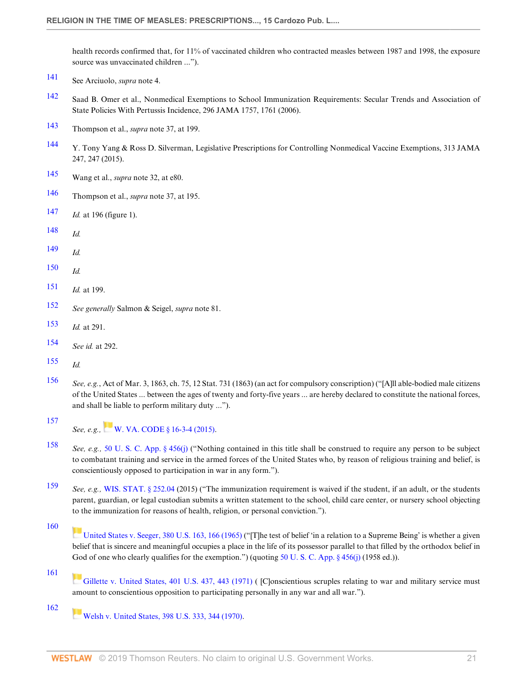health records confirmed that, for 11% of vaccinated children who contracted measles between 1987 and 1998, the exposure source was unvaccinated children ...").

- 141 See Arciuolo, supra note 4.
- 142 Saad B. Omer et al., Nonmedical Exemptions to School Immunization Requirements: Secular Trends and Association of State Policies With Pertussis Incidence, 296 JAMA 1757, 1761 (2006).
- 143 Thompson et al., supra note 37, at 199.
- 144 Y. Tony Yang & Ross D. Silverman, Legislative Prescriptions for Controlling Nonmedical Vaccine Exemptions, 313 JAMA 247, 247 (2015).
- 145 Wang et al., supra note 32, at e80.
- 146 Thompson et al., supra note 37, at 195.
- 147 *Id.* at 196 (figure 1).
- $148$  Id.
- $149$  *Id.*
- $150$  Id.
- $151$  *Id.* at 199.
- 152 See generally Salmon & Seigel, supra note 81.
- 153 Id. at 291.
- 154 See id. at 292.
- $155$  *Id.*

157

- 156 See, e.g., Act of Mar. 3, 1863, ch. 75, 12 Stat. 731 (1863) (an act for compulsory conscription) ("[A]ll able-bodied male citizens of the United States ... between the ages of twenty and forty-five years ... are hereby declared to constitute the national forces, and shall be liable to perform military duty ...").
	- See, e.g., W. VA. CODE § 16-3-4 (2015).
- 158 See, e.g., 50 U. S. C. App. § 456(j) ("Nothing contained in this title shall be construed to require any person to be subject to combatant training and service in the armed forces of the United States who, by reason of religious training and belief, is conscientiously opposed to participation in war in any form.").
- 159 See, e.g., WIS. STAT. § 252.04 (2015) ("The immunization requirement is waived if the student, if an adult, or the students parent, guardian, or legal custodian submits a written statement to the school, child care center, or nursery school objecting to the immunization for reasons of health, religion, or personal conviction.").

United States v. Seeger, 380 U.S. 163, 166 (1965) ("[T]he test of belief 'in a relation to a Supreme Being' is whether a given belief that is sincere and meaningful occupies a place in the life of its possessor parallel to that filled by the orthodox belief in God of one who clearly qualifies for the exemption.") (quoting 50 U. S. C. App. § 456(j) (1958 ed.)).

161

Gillette v. United States, 401 U.S. 437, 443 (1971) ( [C]onscientious scruples relating to war and military service must amount to conscientious opposition to participating personally in any war and all war.").

162

**Welsh v. United States, 398 U.S. 333, 344 (1970).** 

<sup>160</sup>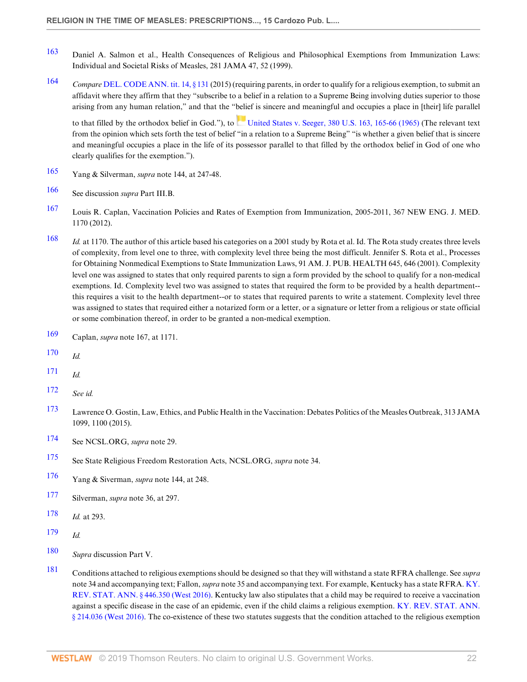- 163 Daniel A. Salmon et al., Health Consequences of Religious and Philosophical Exemptions from Immunization Laws: Individual and Societal Risks of Measles, 281 JAMA 47, 52 (1999).
- 164 Compare DEL. CODE ANN. tit. 14, § 131 (2015) (requiring parents, in order to qualify for a religious exemption, to submit an affidavit where they affirm that they "subscribe to a belief in a relation to a Supreme Being involving duties superior to those arising from any human relation," and that the "belief is sincere and meaningful and occupies a place in [their] life parallel

to that filled by the orthodox belief in God."), to United States v. Seeger, 380 U.S. 163, 165-66 (1965) (The relevant text from the opinion which sets forth the test of belief "in a relation to a Supreme Being" "is whether a given belief that is sincere and meaningful occupies a place in the life of its possessor parallel to that filled by the orthodox belief in God of one who clearly qualifies for the exemption.").

- 165 Yang & Silverman, supra note 144, at 247-48.
- 166 See discussion supra Part III.B.
- 167 Louis R. Caplan, Vaccination Policies and Rates of Exemption from Immunization, 2005-2011, 367 NEW ENG. J. MED. 1170 (2012).
- 168 *Id.* at 1170. The author of this article based his categories on a 2001 study by Rota et al. Id. The Rota study creates three levels of complexity, from level one to three, with complexity level three being the most difficult. Jennifer S. Rota et al., Processes for Obtaining Nonmedical Exemptions to State Immunization Laws, 91 AM. J. PUB. HEALTH 645, 646 (2001). Complexity level one was assigned to states that only required parents to sign a form provided by the school to qualify for a non-medical exemptions. Id. Complexity level two was assigned to states that required the form to be provided by a health department- this requires a visit to the health department--or to states that required parents to write a statement. Complexity level three was assigned to states that required either a notarized form or a letter, or a signature or letter from a religious or state official or some combination thereof, in order to be granted a non-medical exemption.
- 169 Caplan, supra note 167, at 1171.
- 170 Id.
- $171$  *Id.*
- 172 See id.
- 173 Lawrence O. Gostin, Law, Ethics, and Public Health in the Vaccination: Debates Politics of the Measles Outbreak, 313 JAMA 1099, 1100 (2015).
- 174 See NCSL.ORG, supra note 29.
- 175 See State Religious Freedom Restoration Acts, NCSL.ORG, supra note 34.
- 176 Yang & Siverman, *supra* note 144, at 248.
- 177 Silverman, supra note 36, at 297.
- 178 *Id.* at 293.
- 179 Id.
- 180 Supra discussion Part V.
- 181 Conditions attached to religious exemptions should be designed so that they will withstand a state RFRA challenge. See *supra* note 34 and accompanying text; Fallon, *supra* note 35 and accompanying text. For example, Kentucky has a state RFRA. KY. REV. STAT. ANN. § 446.350 (West 2016). Kentucky law also stipulates that a child may be required to receive a vaccination against a specific disease in the case of an epidemic, even if the child claims a religious exemption. KY. REV. STAT. ANN. § 214.036 (West 2016). The co-existence of these two statutes suggests that the condition attached to the religious exemption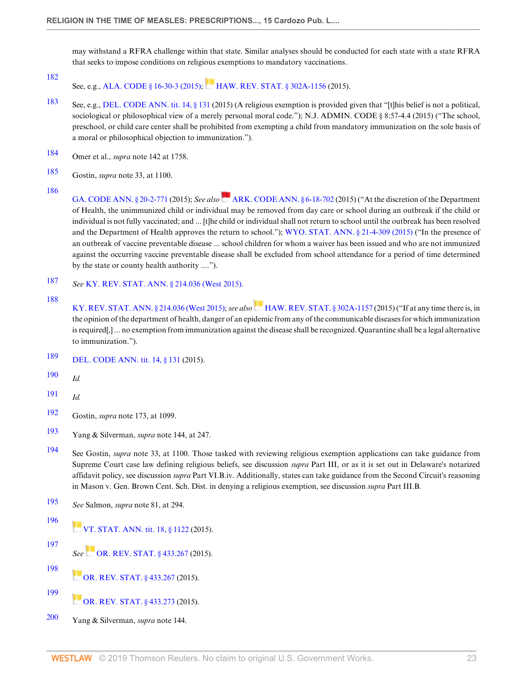may withstand a RFRA challenge within that state. Similar analyses should be conducted for each state with a state RFRA that seeks to impose conditions on religious exemptions to mandatory vaccinations.

182 See, e.g., ALA. CODE § 16-30-3 (2015); HAW. REV. STAT. § 302A-1156 (2015).

- 183 See, e.g., DEL. CODE ANN. tit. 14, § 131 (2015) (A religious exemption is provided given that "[t]his belief is not a political, sociological or philosophical view of a merely personal moral code."); N.J. ADMIN. CODE § 8:57-4.4 (2015) ("The school, preschool, or child care center shall be prohibited from exempting a child from mandatory immunization on the sole basis of a moral or philosophical objection to immunization.").
- 184 Omer et al., supra note 142 at 1758.
- 185 Gostin, supra note 33, at 1100.
- 186

GA. CODE ANN. § 20-2-771 (2015); See also ARK. CODE ANN. § 6-18-702 (2015) ("At the discretion of the Department of Health, the unimmunized child or individual may be removed from day care or school during an outbreak if the child or individual is not fully vaccinated; and ... [t]he child or individual shall not return to school until the outbreak has been resolved and the Department of Health approves the return to school."); WYO. STAT. ANN. § 21-4-309 (2015) ("In the presence of an outbreak of vaccine preventable disease ... school children for whom a waiver has been issued and who are not immunized against the occurring vaccine preventable disease shall be excluded from school attendance for a period of time determined by the state or county health authority ....").

- 187 See KY. REV. STAT. ANN. § 214.036 (West 2015).
- 188

KY. REV. STAT. ANN. § 214.036 (West 2015); see also HAW. REV. STAT. § 302A-1157 (2015) ("If at any time there is, in the opinion of the department of health, danger of an epidemic from any of the communicable diseases for which immunization is required[,] ... no exemption from immunization against the disease shall be recognized. Quarantine shall be a legal alternative to immunization.").

- 189 DEL. CODE ANN. tit. 14, § 131 (2015).
- 190  $Id$ .
- $191$  *Id.*
- 192 Gostin, supra note 173, at 1099.
- 193 Yang & Silverman, supra note 144, at 247.
- 194 See Gostin, *supra* note 33, at 1100. Those tasked with reviewing religious exemption applications can take guidance from Supreme Court case law defining religious beliefs, see discussion supra Part III, or as it is set out in Delaware's notarized affidavit policy, see discussion supra Part VI.B.iv. Additionally, states can take guidance from the Second Circuit's reasoning in Mason v. Gen. Brown Cent. Sch. Dist. in denying a religious exemption, see discussion supra Part III.B.
- 195 See Salmon, supra note 81, at 294.
- 196 **VT. STAT. ANN.** tit. 18, § 1122 (2015).
- 197 See OR. REV. STAT. § 433.267 (2015).
- 198 **OR. REV. STAT. § 433.267 (2015).**
- 199 OR. REV. STAT. § 433.273 (2015).
- 200 Yang & Silverman, supra note 144.